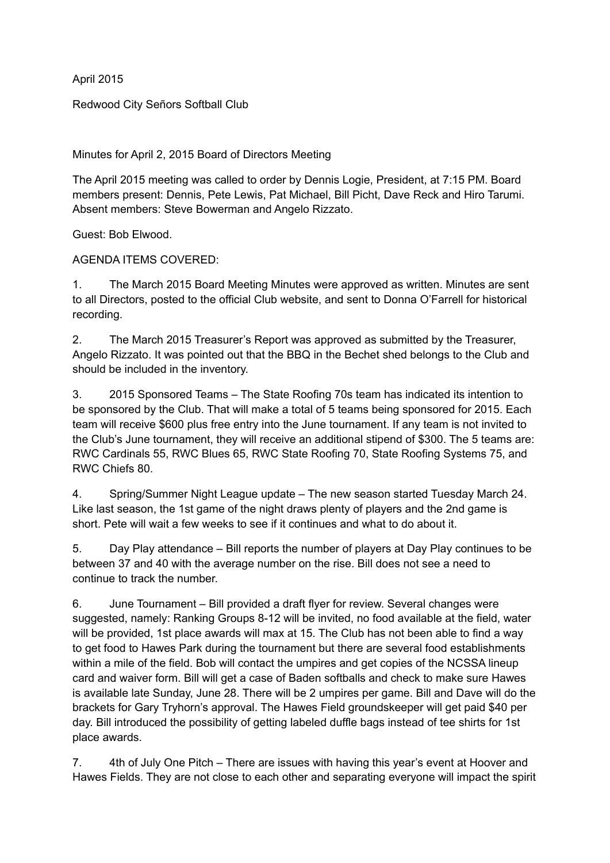April 2015

Redwood City Señors Softball Club

Minutes for April 2, 2015 Board of Directors Meeting

The April 2015 meeting was called to order by Dennis Logie, President, at 7:15 PM. Board members present: Dennis, Pete Lewis, Pat Michael, Bill Picht, Dave Reck and Hiro Tarumi. Absent members: Steve Bowerman and Angelo Rizzato.

Guest: Bob Elwood.

AGENDA ITEMS COVERED:

1. The March 2015 Board Meeting Minutes were approved as written. Minutes are sent to all Directors, posted to the official Club website, and sent to Donna O'Farrell for historical recording.

2. The March 2015 Treasurer's Report was approved as submitted by the Treasurer, Angelo Rizzato. It was pointed out that the BBQ in the Bechet shed belongs to the Club and should be included in the inventory.

3. 2015 Sponsored Teams – The State Roofing 70s team has indicated its intention to be sponsored by the Club. That will make a total of 5 teams being sponsored for 2015. Each team will receive \$600 plus free entry into the June tournament. If any team is not invited to the Club's June tournament, they will receive an additional stipend of \$300. The 5 teams are: RWC Cardinals 55, RWC Blues 65, RWC State Roofing 70, State Roofing Systems 75, and RWC Chiefs 80.

4. Spring/Summer Night League update – The new season started Tuesday March 24. Like last season, the 1st game of the night draws plenty of players and the 2nd game is short. Pete will wait a few weeks to see if it continues and what to do about it.

5. Day Play attendance – Bill reports the number of players at Day Play continues to be between 37 and 40 with the average number on the rise. Bill does not see a need to continue to track the number.

6. June Tournament – Bill provided a draft flyer for review. Several changes were suggested, namely: Ranking Groups 8-12 will be invited, no food available at the field, water will be provided, 1st place awards will max at 15. The Club has not been able to find a way to get food to Hawes Park during the tournament but there are several food establishments within a mile of the field. Bob will contact the umpires and get copies of the NCSSA lineup card and waiver form. Bill will get a case of Baden softballs and check to make sure Hawes is available late Sunday, June 28. There will be 2 umpires per game. Bill and Dave will do the brackets for Gary Tryhorn's approval. The Hawes Field groundskeeper will get paid \$40 per day. Bill introduced the possibility of getting labeled duffle bags instead of tee shirts for 1st place awards.

7. 4th of July One Pitch – There are issues with having this year's event at Hoover and Hawes Fields. They are not close to each other and separating everyone will impact the spirit